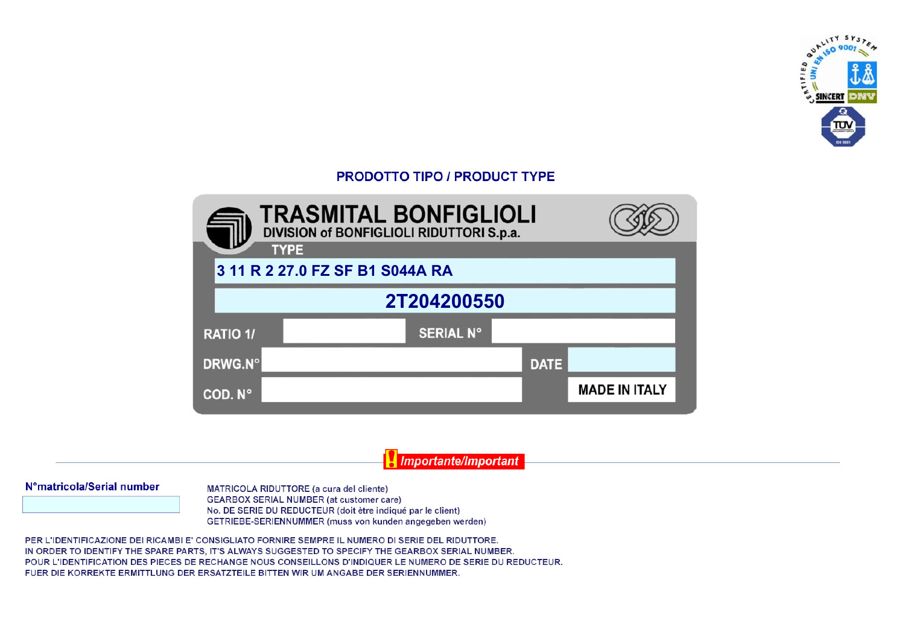

## **PRODOTTO TIPO / PRODUCT TYPE**



Importante/Important

## N°matricola/Serial number

MATRICOLA RIDUTTORE (a cura del cliente) **GEARBOX SERIAL NUMBER (at customer care)** No. DE SERIE DU REDUCTEUR (doit être indiqué par le client) GETRIEBE-SERIENNUMMER (muss von kunden angegeben werden)

PER L'IDENTIFICAZIONE DEI RICAMBI E' CONSIGLIATO FORNIRE SEMPRE IL NUMERO DI SERIE DEL RIDUTTORE. IN ORDER TO IDENTIFY THE SPARE PARTS. IT'S ALWAYS SUGGESTED TO SPECIFY THE GEARBOX SERIAL NUMBER. POUR L'IDENTIFICATION DES PIECES DE RECHANGE NOUS CONSEILLONS D'INDIQUER LE NUMERO DE SERIE DU REDUCTEUR. FUER DIE KORREKTE ERMITTLUNG DER ERSATZTEILE BITTEN WIR UM ANGABE DER SERIENNUMMER.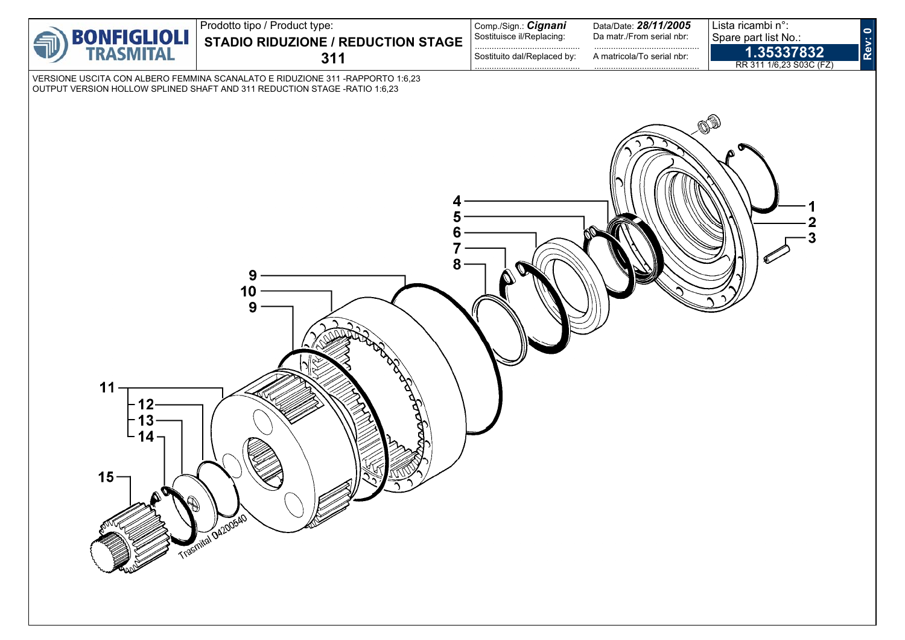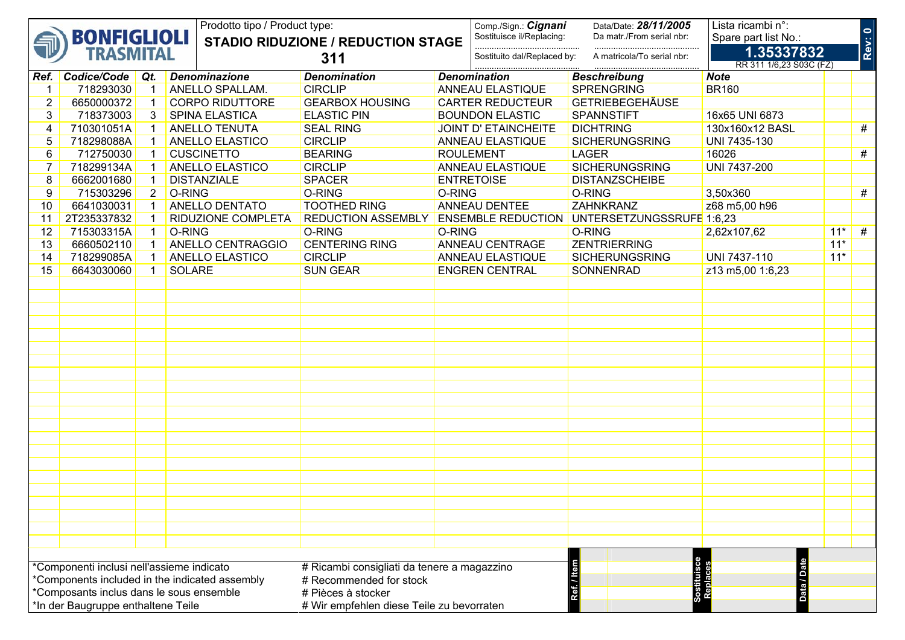|                                                                                                   |                                           |                | Prodotto tipo / Product type: |                                             |        | Comp./Sign.: Cignani             | Data/Date: 28/11/2005           | Lista ricambi n°:                     |       |        |
|---------------------------------------------------------------------------------------------------|-------------------------------------------|----------------|-------------------------------|---------------------------------------------|--------|----------------------------------|---------------------------------|---------------------------------------|-------|--------|
|                                                                                                   | <b>BONFIGLIOLI</b>                        |                |                               | <b>STADIO RIDUZIONE / REDUCTION STAGE</b>   |        | Sostituisce il/Replacing:        | Da matr./From serial nbr:       | Spare part list No.:                  |       | Rev: 0 |
|                                                                                                   | <b>TRASMITAL</b>                          |                |                               | 311                                         |        | .<br>Sostituito dal/Replaced by: | .<br>A matricola/To serial nbr: | 1.35337832<br>RR 311 1/6,23 S03C (FZ) |       |        |
|                                                                                                   | Ref. Codice/Code                          | $\vert$ Qt.    | <b>Denominazione</b>          | <b>Denomination</b>                         |        | <b>Denomination</b>              | <b>Beschreibung</b>             | <b>Note</b>                           |       |        |
| $\mathbf{1}$                                                                                      | 718293030                                 |                | ANELLO SPALLAM.               | <b>CIRCLIP</b>                              |        | <b>ANNEAU ELASTIQUE</b>          | <b>SPRENGRING</b>               | <b>BR160</b>                          |       |        |
| $\overline{2}$                                                                                    | 6650000372                                |                | <b>CORPO RIDUTTORE</b>        | <b>GEARBOX HOUSING</b>                      |        | <b>CARTER REDUCTEUR</b>          | <b>GETRIEBEGEHÄUSE</b>          |                                       |       |        |
| 3                                                                                                 | 718373003                                 | 3              | SPINA ELASTICA                | <b>ELASTIC PIN</b>                          |        | <b>BOUNDON ELASTIC</b>           | <b>SPANNSTIFT</b>               | 16x65 UNI 6873                        |       |        |
| 4                                                                                                 | 710301051A                                |                | <b>ANELLO TENUTA</b>          | <b>SEAL RING</b>                            |        | <b>JOINT D' ETAINCHEITE</b>      | <b>DICHTRING</b>                | 130x160x12 BASL                       |       | #      |
| 5                                                                                                 | 718298088A                                |                | ANELLO ELASTICO               | <b>CIRCLIP</b>                              |        | <b>ANNEAU ELASTIQUE</b>          | <b>SICHERUNGSRING</b>           | UNI 7435-130                          |       |        |
| 6                                                                                                 | 712750030                                 |                | <b>CUSCINETTO</b>             | <b>BEARING</b>                              |        | <b>ROULEMENT</b>                 | <b>LAGER</b>                    | 16026                                 |       | $\#$   |
| $\overline{7}$                                                                                    | 718299134A                                |                | ANELLO ELASTICO               | <b>CIRCLIP</b>                              |        | ANNEAU ELASTIQUE                 | <b>SICHERUNGSRING</b>           | UNI 7437-200                          |       |        |
| 8                                                                                                 | 6662001680                                |                | <b>DISTANZIALE</b>            | <b>SPACER</b>                               |        | <b>ENTRETOISE</b>                | <b>DISTANZSCHEIBE</b>           |                                       |       |        |
| 9                                                                                                 | 715303296                                 | $\overline{2}$ | O-RING                        | O-RING                                      | O-RING |                                  | O-RING                          | 3,50x360                              |       | #      |
| 10                                                                                                | 6641030031                                |                | ANELLO DENTATO                | <b>TOOTHED RING</b>                         |        | ANNEAU DENTEE                    | ZAHNKRANZ                       | z68 m5,00 h96                         |       |        |
| 11                                                                                                | 2T235337832                               |                | RIDUZIONE COMPLETA            | <b>REDUCTION ASSEMBLY</b>                   |        | <b>ENSEMBLE REDUCTION</b>        | UNTERSETZUNGSSRUFE 1:6,23       |                                       |       |        |
| 12                                                                                                | 715303315A                                |                | O-RING                        | O-RING                                      | O-RING |                                  | O-RING                          | 2,62x107,62                           | $11*$ | #      |
| 13                                                                                                | 6660502110                                |                | ANELLO CENTRAGGIO             | <b>CENTERING RING</b>                       |        | ANNEAU CENTRAGE                  | <b>ZENTRIERRING</b>             |                                       | $11*$ |        |
| 14                                                                                                | 718299085A                                |                | ANELLO ELASTICO               | <b>CIRCLIP</b>                              |        | <b>ANNEAU ELASTIQUE</b>          | <b>SICHERUNGSRING</b>           | UNI 7437-110                          | $11*$ |        |
| 15                                                                                                | 6643030060                                |                | <b>SOLARE</b>                 | <b>SUN GEAR</b>                             |        | <b>ENGREN CENTRAL</b>            | SONNENRAD                       | z13 m5,00 1:6,23                      |       |        |
|                                                                                                   |                                           |                |                               |                                             |        |                                  |                                 |                                       |       |        |
|                                                                                                   |                                           |                |                               |                                             |        |                                  |                                 |                                       |       |        |
|                                                                                                   |                                           |                |                               |                                             |        |                                  |                                 |                                       |       |        |
|                                                                                                   |                                           |                |                               |                                             |        |                                  |                                 |                                       |       |        |
|                                                                                                   |                                           |                |                               |                                             |        |                                  |                                 |                                       |       |        |
|                                                                                                   |                                           |                |                               |                                             |        |                                  |                                 |                                       |       |        |
|                                                                                                   |                                           |                |                               |                                             |        |                                  |                                 |                                       |       |        |
|                                                                                                   |                                           |                |                               |                                             |        |                                  |                                 |                                       |       |        |
|                                                                                                   |                                           |                |                               |                                             |        |                                  |                                 |                                       |       |        |
|                                                                                                   |                                           |                |                               |                                             |        |                                  |                                 |                                       |       |        |
|                                                                                                   |                                           |                |                               |                                             |        |                                  |                                 |                                       |       |        |
|                                                                                                   |                                           |                |                               |                                             |        |                                  |                                 |                                       |       |        |
|                                                                                                   |                                           |                |                               |                                             |        |                                  |                                 |                                       |       |        |
|                                                                                                   |                                           |                |                               |                                             |        |                                  |                                 |                                       |       |        |
|                                                                                                   |                                           |                |                               |                                             |        |                                  |                                 |                                       |       |        |
|                                                                                                   |                                           |                |                               |                                             |        |                                  |                                 |                                       |       |        |
|                                                                                                   |                                           |                |                               |                                             |        |                                  |                                 |                                       |       |        |
|                                                                                                   |                                           |                |                               |                                             |        |                                  |                                 |                                       |       |        |
|                                                                                                   |                                           |                |                               |                                             |        |                                  |                                 |                                       |       |        |
|                                                                                                   |                                           |                |                               |                                             |        |                                  |                                 |                                       |       |        |
|                                                                                                   |                                           |                |                               |                                             |        |                                  |                                 |                                       |       |        |
|                                                                                                   |                                           |                |                               |                                             |        |                                  |                                 |                                       |       |        |
|                                                                                                   | *Componenti inclusi nell'assieme indicato |                |                               | # Ricambi consigliati da tenere a magazzino |        |                                  |                                 | <b>Date</b>                           |       |        |
| Sostituis<br>Renlace<br>*Components included in the indicated assembly<br># Recommended for stock |                                           |                |                               |                                             |        |                                  |                                 |                                       |       |        |
| Ref./<br>*Composants inclus dans le sous ensemble<br># Pièces à stocker                           |                                           |                |                               |                                             |        |                                  | Data                            |                                       |       |        |
|                                                                                                   | *In der Baugruppe enthaltene Teile        |                |                               | # Wir empfehlen diese Teile zu bevorraten   |        |                                  |                                 |                                       |       |        |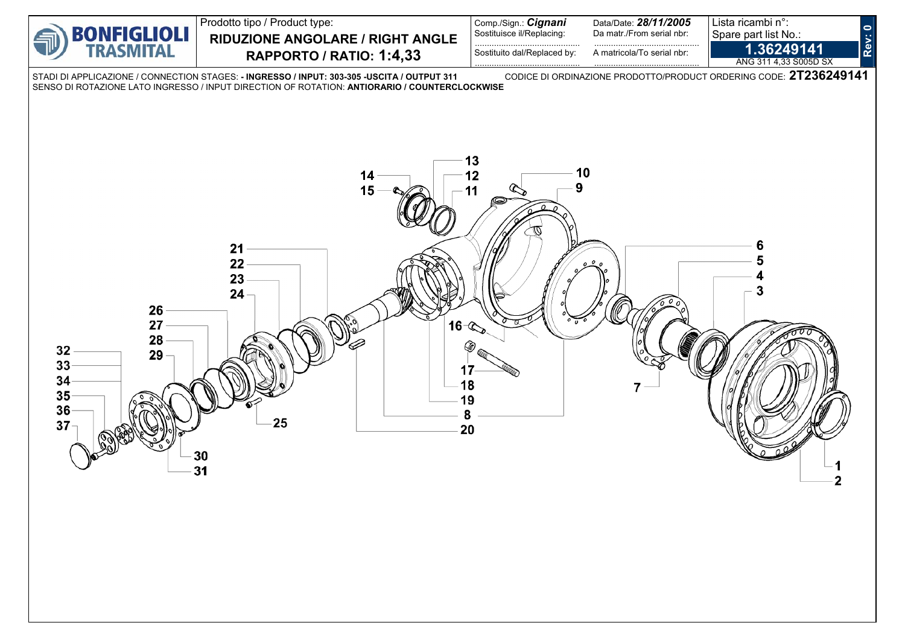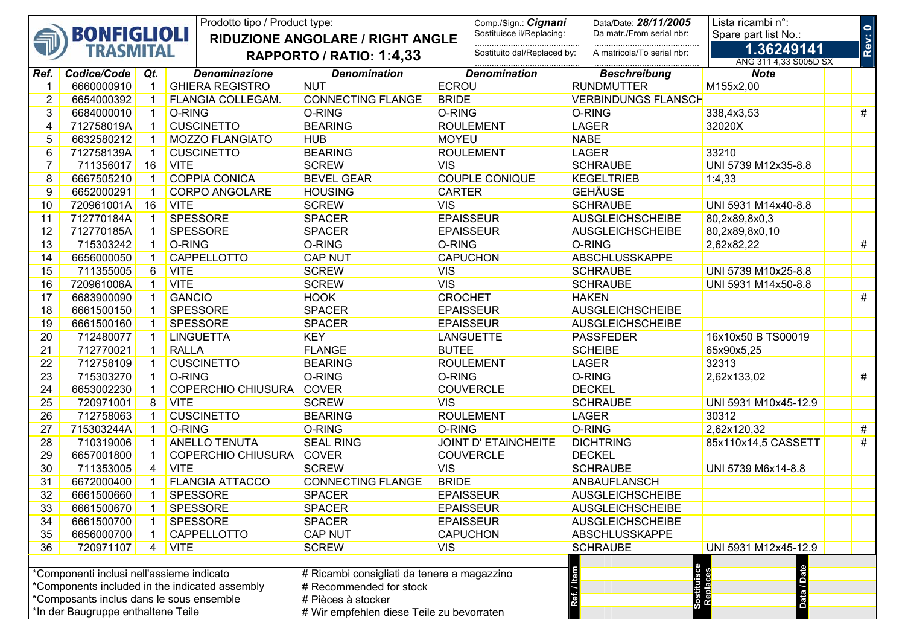| Prodotto tipo / Product type: |                                           |                |                                                |                                             | Comp./Sign.: Cignani | Data/Date: 28/11/2005       | Lista ricambi n°:          |                                     |        |
|-------------------------------|-------------------------------------------|----------------|------------------------------------------------|---------------------------------------------|----------------------|-----------------------------|----------------------------|-------------------------------------|--------|
|                               | <b>BONFIGLIOLI</b>                        |                |                                                | <b>RIDUZIONE ANGOLARE / RIGHT ANGLE</b>     |                      | Sostituisce il/Replacing:   | Da matr./From serial nbr:  | Spare part list No.:                |        |
|                               | <b>TRASMITAL</b>                          |                |                                                | RAPPORTO / RATIO: 1:4,33                    |                      | Sostituito dal/Replaced by: | A matricola/To serial nbr: | 1.36249141<br>ANG 311 4,33 S005D SX | Rev: 0 |
| Ref.                          | Codice/Code                               | Qt.            | <b>Denominazione</b>                           | <b>Denomination</b>                         |                      | <b>Denomination</b>         | <b>Beschreibung</b>        | <b>Note</b>                         |        |
| 1                             | 6660000910                                |                | <b>GHIERA REGISTRO</b>                         | <b>NUT</b>                                  | <b>ECROU</b>         |                             | <b>RUNDMUTTER</b>          | M155x2,00                           |        |
| $\overline{2}$                | 6654000392                                |                | FLANGIA COLLEGAM.                              | <b>CONNECTING FLANGE</b>                    | <b>BRIDE</b>         |                             | <b>VERBINDUNGS FLANSCH</b> |                                     |        |
| 3                             | 6684000010                                |                | O-RING                                         | O-RING                                      | O-RING               |                             | O-RING                     | 338,4x3,53                          | #      |
| 4                             | 712758019A                                |                | <b>CUSCINETTO</b>                              | <b>BEARING</b>                              |                      | <b>ROULEMENT</b>            | <b>LAGER</b>               | 32020X                              |        |
| 5                             | 6632580212                                |                | <b>MOZZO FLANGIATO</b>                         | <b>HUB</b>                                  | <b>MOYEU</b>         |                             | <b>NABE</b>                |                                     |        |
| 6                             | 712758139A                                |                | <b>CUSCINETTO</b>                              | <b>BEARING</b>                              |                      | <b>ROULEMENT</b>            | <b>LAGER</b>               | 33210                               |        |
| $\overline{7}$                | 711356017                                 | 16             | <b>VITE</b>                                    | <b>SCREW</b>                                | <b>VIS</b>           |                             | <b>SCHRAUBE</b>            | UNI 5739 M12x35-8.8                 |        |
| 8                             | 6667505210                                |                | <b>COPPIA CONICA</b>                           | <b>BEVEL GEAR</b>                           |                      | <b>COUPLE CONIQUE</b>       | <b>KEGELTRIEB</b>          | 1:4,33                              |        |
| 9                             | 6652000291                                |                | <b>CORPO ANGOLARE</b>                          | <b>HOUSING</b>                              | <b>CARTER</b>        |                             | <b>GEHÄUSE</b>             |                                     |        |
| 10                            | 720961001A                                | 16             | <b>VITE</b>                                    | <b>SCREW</b>                                | <b>VIS</b>           |                             | <b>SCHRAUBE</b>            | UNI 5931 M14x40-8.8                 |        |
| 11                            | 712770184A                                |                | <b>SPESSORE</b>                                | <b>SPACER</b>                               |                      | <b>EPAISSEUR</b>            | <b>AUSGLEICHSCHEIBE</b>    | 80,2x89,8x0,3                       |        |
| 12                            | 712770185A                                |                | <b>SPESSORE</b>                                | <b>SPACER</b>                               |                      | <b>EPAISSEUR</b>            | <b>AUSGLEICHSCHEIBE</b>    | 80,2x89,8x0,10                      |        |
| 13                            | 715303242                                 |                | O-RING                                         | O-RING                                      | O-RING               |                             | O-RING                     | 2,62x82,22                          | #      |
| 14                            | 6656000050                                |                | CAPPELLOTTO                                    | <b>CAP NUT</b>                              |                      | <b>CAPUCHON</b>             | ABSCHLUSSKAPPE             |                                     |        |
| 15                            | 711355005                                 | 6              | <b>VITE</b>                                    | <b>SCREW</b>                                | <b>VIS</b>           |                             | <b>SCHRAUBE</b>            | UNI 5739 M10x25-8.8                 |        |
| 16                            | 720961006A                                |                | <b>VITE</b>                                    | <b>SCREW</b>                                | <b>VIS</b>           |                             | <b>SCHRAUBE</b>            | UNI 5931 M14x50-8.8                 |        |
| 17                            | 6683900090                                |                | <b>GANCIO</b>                                  | <b>HOOK</b>                                 | <b>CROCHET</b>       |                             | <b>HAKEN</b>               |                                     | #      |
| 18                            | 6661500150                                |                | <b>SPESSORE</b>                                | <b>SPACER</b>                               |                      | <b>EPAISSEUR</b>            | <b>AUSGLEICHSCHEIBE</b>    |                                     |        |
| 19                            | 6661500160                                |                | <b>SPESSORE</b>                                | <b>SPACER</b>                               |                      | <b>EPAISSEUR</b>            | <b>AUSGLEICHSCHEIBE</b>    |                                     |        |
| 20                            | 712480077                                 |                | <b>LINGUETTA</b>                               | <b>KEY</b>                                  |                      | <b>LANGUETTE</b>            | <b>PASSFEDER</b>           | 16x10x50 B TS00019                  |        |
| 21                            | 712770021                                 |                | <b>RALLA</b>                                   | <b>FLANGE</b>                               | <b>BUTEE</b>         |                             | <b>SCHEIBE</b>             | 65x90x5,25                          |        |
| 22                            | 712758109                                 |                | <b>CUSCINETTO</b>                              | <b>BEARING</b>                              |                      | <b>ROULEMENT</b>            | <b>LAGER</b>               | 32313                               |        |
| 23                            | 715303270                                 |                | O-RING                                         | O-RING                                      | O-RING               |                             | O-RING                     | 2,62x133,02                         | #      |
| 24                            | 6653002230                                |                | <b>COPERCHIO CHIUSURA</b>                      | <b>COVER</b>                                |                      | <b>COUVERCLE</b>            | <b>DECKEL</b>              |                                     |        |
| 25                            | 720971001                                 | 8              | <b>VITE</b>                                    | <b>SCREW</b>                                | <b>VIS</b>           |                             | <b>SCHRAUBE</b>            | UNI 5931 M10x45-12.9                |        |
| 26                            | 712758063                                 |                | <b>CUSCINETTO</b>                              | <b>BEARING</b>                              |                      | <b>ROULEMENT</b>            | <b>LAGER</b>               | 30312                               |        |
| 27                            | 715303244A                                |                | O-RING                                         | O-RING                                      | O-RING               |                             | O-RING                     | 2,62x120,32                         | #      |
| 28                            | 710319006                                 |                | <b>ANELLO TENUTA</b>                           | <b>SEAL RING</b>                            |                      | <b>JOINT D' ETAINCHEITE</b> | <b>DICHTRING</b>           | 85x110x14,5 CASSETT                 | #      |
| 29                            | 6657001800                                |                | <b>COPERCHIO CHIUSURA</b>                      | <b>COVER</b>                                |                      | <b>COUVERCLE</b>            | <b>DECKEL</b>              |                                     |        |
| 30                            | 711353005                                 | 4              | <b>VITE</b>                                    | <b>SCREW</b>                                | <b>VIS</b>           |                             | <b>SCHRAUBE</b>            | UNI 5739 M6x14-8.8                  |        |
| 31                            | 6672000400                                |                | <b>FLANGIA ATTACCO</b>                         | <b>CONNECTING FLANGE</b>                    | <b>BRIDE</b>         |                             | ANBAUFLANSCH               |                                     |        |
| 32                            | 6661500660                                | $\overline{1}$ | SPESSORE                                       | <b>SPACER</b>                               |                      | <b>EPAISSEUR</b>            | <b>AUSGLEICHSCHEIBE</b>    |                                     |        |
| 33                            | 6661500670                                |                | <b>SPESSORE</b>                                | <b>SPACER</b>                               |                      | <b>EPAISSEUR</b>            | <b>AUSGLEICHSCHEIBE</b>    |                                     |        |
| 34                            | 6661500700                                |                | <b>SPESSORE</b>                                | <b>SPACER</b>                               |                      | <b>EPAISSEUR</b>            | <b>AUSGLEICHSCHEIBE</b>    |                                     |        |
| 35                            | 6656000700                                |                | CAPPELLOTTO                                    | <b>CAP NUT</b>                              |                      | <b>CAPUCHON</b>             | ABSCHLUSSKAPPE             |                                     |        |
| 36                            | 720971107                                 | 4              | <b>VITE</b>                                    | <b>SCREW</b>                                | <b>VIS</b>           |                             | <b>SCHRAUBE</b>            | UNI 5931 M12x45-12.9                |        |
|                               |                                           |                |                                                |                                             |                      |                             |                            |                                     |        |
|                               | *Componenti inclusi nell'assieme indicato |                |                                                | # Ricambi consigliati da tenere a magazzino |                      |                             |                            |                                     |        |
|                               |                                           |                | *Components included in the indicated assembly | # Recommended for stock                     |                      |                             |                            | Sostituisce<br>Replaces             |        |
|                               |                                           |                | *Composants inclus dans le sous ensemble       | # Pièces à stocker                          |                      |                             | Ref./                      | Data                                |        |
|                               | *In der Baugruppe enthaltene Teile        |                |                                                | # Wir empfehlen diese Teile zu bevorraten   |                      |                             |                            |                                     |        |
|                               |                                           |                |                                                |                                             |                      |                             |                            |                                     |        |